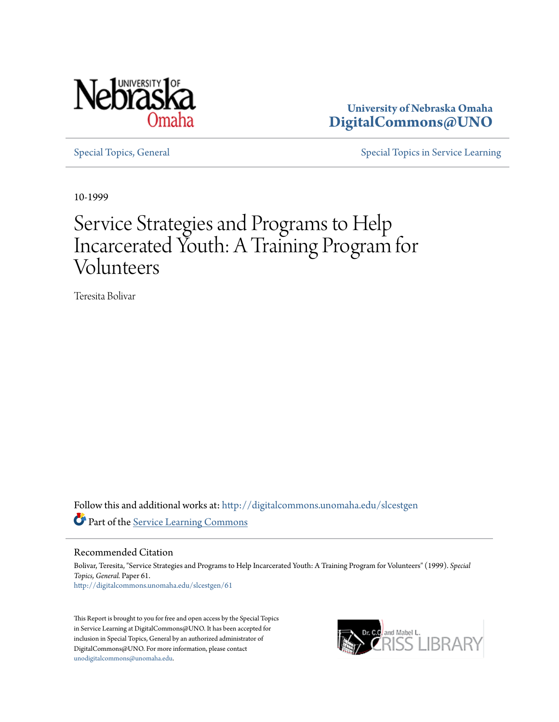

**University of Nebraska Omaha [DigitalCommons@UNO](http://digitalcommons.unomaha.edu?utm_source=digitalcommons.unomaha.edu%2Fslcestgen%2F61&utm_medium=PDF&utm_campaign=PDFCoverPages)**

[Special Topics, General](http://digitalcommons.unomaha.edu/slcestgen?utm_source=digitalcommons.unomaha.edu%2Fslcestgen%2F61&utm_medium=PDF&utm_campaign=PDFCoverPages) [Special Topics in Service Learning](http://digitalcommons.unomaha.edu/slcespecialtopics?utm_source=digitalcommons.unomaha.edu%2Fslcestgen%2F61&utm_medium=PDF&utm_campaign=PDFCoverPages)

10-1999

# Service Strategies and Programs to Help Incarcerated Youth: A Training Program for Volunteers

Teresita Bolivar

Follow this and additional works at: [http://digitalcommons.unomaha.edu/slcestgen](http://digitalcommons.unomaha.edu/slcestgen?utm_source=digitalcommons.unomaha.edu%2Fslcestgen%2F61&utm_medium=PDF&utm_campaign=PDFCoverPages) Part of the [Service Learning Commons](http://network.bepress.com/hgg/discipline/1024?utm_source=digitalcommons.unomaha.edu%2Fslcestgen%2F61&utm_medium=PDF&utm_campaign=PDFCoverPages)

Recommended Citation

Bolivar, Teresita, "Service Strategies and Programs to Help Incarcerated Youth: A Training Program for Volunteers" (1999). *Special Topics, General.* Paper 61. [http://digitalcommons.unomaha.edu/slcestgen/61](http://digitalcommons.unomaha.edu/slcestgen/61?utm_source=digitalcommons.unomaha.edu%2Fslcestgen%2F61&utm_medium=PDF&utm_campaign=PDFCoverPages)

This Report is brought to you for free and open access by the Special Topics in Service Learning at DigitalCommons@UNO. It has been accepted for inclusion in Special Topics, General by an authorized administrator of DigitalCommons@UNO. For more information, please contact [unodigitalcommons@unomaha.edu](mailto:unodigitalcommons@unomaha.edu).

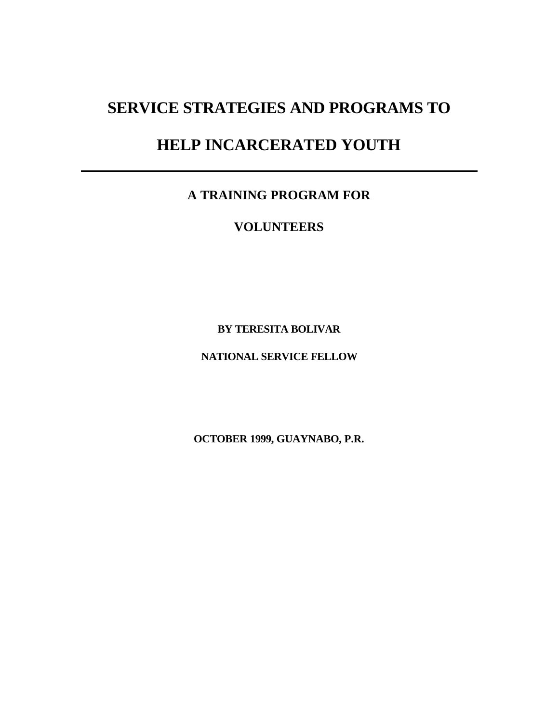## **SERVICE STRATEGIES AND PROGRAMS TO**

### **HELP INCARCERATED YOUTH**

**A TRAINING PROGRAM FOR**

**VOLUNTEERS**

**BY TERESITA BOLIVAR**

**NATIONAL SERVICE FELLOW**

**OCTOBER 1999, GUAYNABO, P.R.**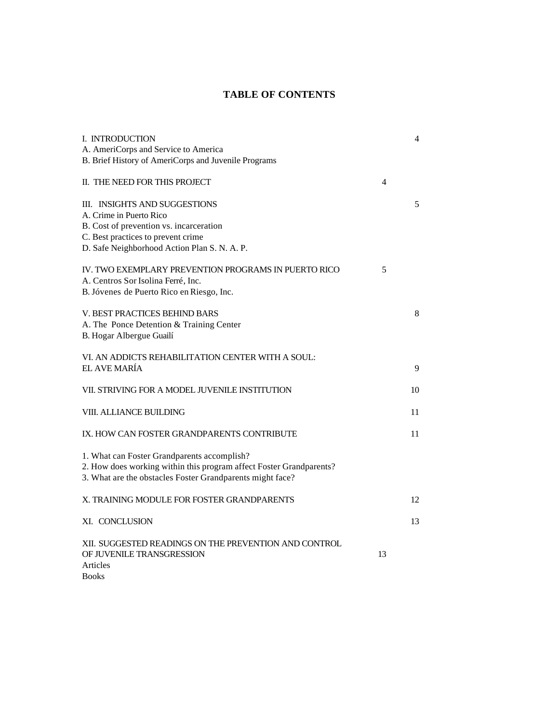### **TABLE OF CONTENTS**

| I. INTRODUCTION                                                     |    | 4  |
|---------------------------------------------------------------------|----|----|
| A. AmeriCorps and Service to America                                |    |    |
| B. Brief History of AmeriCorps and Juvenile Programs                |    |    |
| II. THE NEED FOR THIS PROJECT                                       | 4  |    |
| III. INSIGHTS AND SUGGESTIONS                                       |    | 5  |
| A. Crime in Puerto Rico                                             |    |    |
| B. Cost of prevention vs. incarceration                             |    |    |
| C. Best practices to prevent crime                                  |    |    |
| D. Safe Neighborhood Action Plan S. N. A. P.                        |    |    |
|                                                                     |    |    |
| IV. TWO EXEMPLARY PREVENTION PROGRAMS IN PUERTO RICO                | 5  |    |
| A. Centros Sor Isolina Ferré, Inc.                                  |    |    |
| B. Jóvenes de Puerto Rico en Riesgo, Inc.                           |    |    |
| V. BEST PRACTICES BEHIND BARS                                       |    | 8  |
| A. The Ponce Detention & Training Center                            |    |    |
| B. Hogar Albergue Guailí                                            |    |    |
|                                                                     |    |    |
| VI. AN ADDICTS REHABILITATION CENTER WITH A SOUL:                   |    |    |
| EL AVE MARÍA                                                        |    | 9  |
|                                                                     |    |    |
| VII. STRIVING FOR A MODEL JUVENILE INSTITUTION                      |    | 10 |
| VIII. ALLIANCE BUILDING                                             |    | 11 |
|                                                                     |    |    |
| IX. HOW CAN FOSTER GRANDPARENTS CONTRIBUTE                          |    | 11 |
|                                                                     |    |    |
| 1. What can Foster Grandparents accomplish?                         |    |    |
| 2. How does working within this program affect Foster Grandparents? |    |    |
| 3. What are the obstacles Foster Grandparents might face?           |    |    |
|                                                                     |    |    |
| X. TRAINING MODULE FOR FOSTER GRANDPARENTS                          |    | 12 |
| XI. CONCLUSION                                                      |    | 13 |
|                                                                     |    |    |
| XII. SUGGESTED READINGS ON THE PREVENTION AND CONTROL               |    |    |
| OF JUVENILE TRANSGRESSION                                           | 13 |    |
| Articles                                                            |    |    |
| <b>Books</b>                                                        |    |    |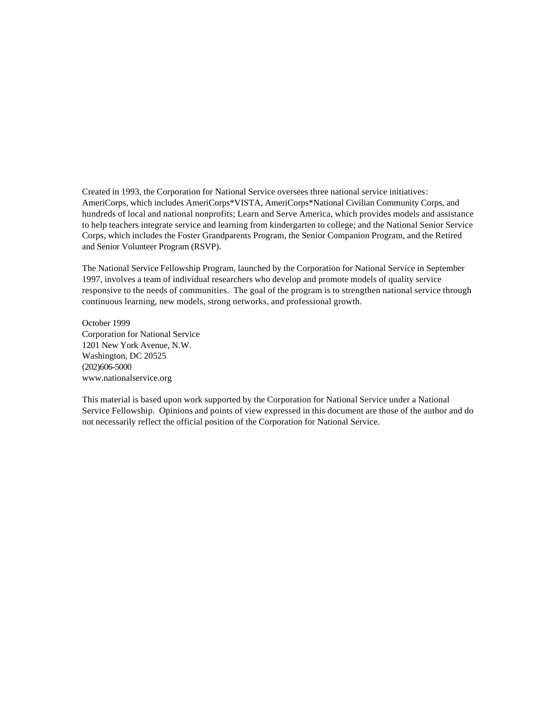Created in 1993, the Corporation for National Service oversees three national service initiatives: AmeriCorps, which includes AmeriCorps\*VISTA, AmeriCorps\*National Civilian Community Corps, and hundreds of local and national nonprofits; Learn and Serve America, which provides models and assistance to help teachers integrate service and learning from kindergarten to college; and the National Senior Service Corps, which includes the Foster Grandparents Program, the Senior Companion Program, and the Retired and Senior Volunteer Program (RSVP).

The National Service Fellowship Program, launched by the Corporation for National Service in September 1997, involves a team of individual researchers who develop and promote models of quality service responsive to the needs of communities. The goal of the program is to strengthen national service through continuous learning, new models, strong networks, and professional growth.

October 1999 Corporation for National Service 1201 New York Avenue, N.W. Washington, DC 20525 (202)606-5000 www.nationalservice.org

This material is based upon work supported by the Corporation for National Service under a National Service Fellowship. Opinions and points of view expressed in this document are those of the author and do not necessarily reflect the official position of the Corporation for National Service.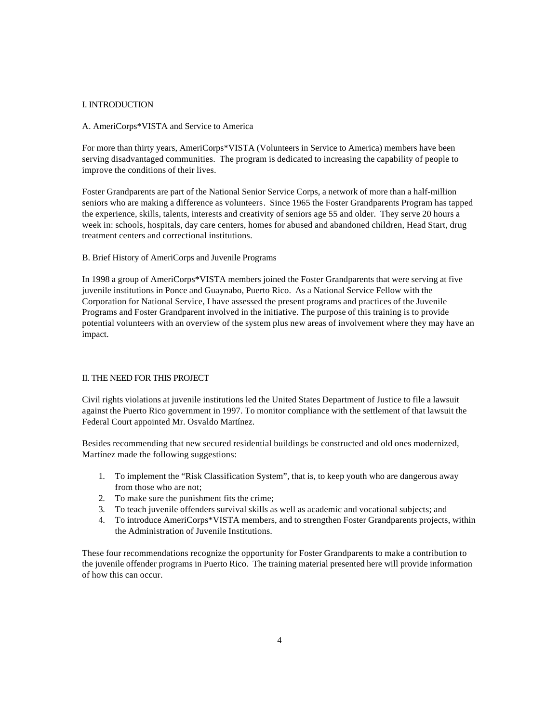#### I. INTRODUCTION

#### A. AmeriCorps\*VISTA and Service to America

For more than thirty years, AmeriCorps\*VISTA (Volunteers in Service to America) members have been serving disadvantaged communities. The program is dedicated to increasing the capability of people to improve the conditions of their lives.

Foster Grandparents are part of the National Senior Service Corps, a network of more than a half-million seniors who are making a difference as volunteers. Since 1965 the Foster Grandparents Program has tapped the experience, skills, talents, interests and creativity of seniors age 55 and older. They serve 20 hours a week in: schools, hospitals, day care centers, homes for abused and abandoned children, Head Start, drug treatment centers and correctional institutions.

B. Brief History of AmeriCorps and Juvenile Programs

In 1998 a group of AmeriCorps\*VISTA members joined the Foster Grandparents that were serving at five juvenile institutions in Ponce and Guaynabo, Puerto Rico. As a National Service Fellow with the Corporation for National Service, I have assessed the present programs and practices of the Juvenile Programs and Foster Grandparent involved in the initiative. The purpose of this training is to provide potential volunteers with an overview of the system plus new areas of involvement where they may have an impact.

#### II. THE NEED FOR THIS PROJECT

Civil rights violations at juvenile institutions led the United States Department of Justice to file a lawsuit against the Puerto Rico government in 1997. To monitor compliance with the settlement of that lawsuit the Federal Court appointed Mr. Osvaldo Martínez.

Besides recommending that new secured residential buildings be constructed and old ones modernized, Martínez made the following suggestions:

- 1. To implement the "Risk Classification System", that is, to keep youth who are dangerous away from those who are not;
- 2. To make sure the punishment fits the crime:
- 3. To teach juvenile offenders survival skills as well as academic and vocational subjects; and
- 4. To introduce AmeriCorps\*VISTA members, and to strengthen Foster Grandparents projects, within the Administration of Juvenile Institutions.

These four recommendations recognize the opportunity for Foster Grandparents to make a contribution to the juvenile offender programs in Puerto Rico. The training material presented here will provide information of how this can occur.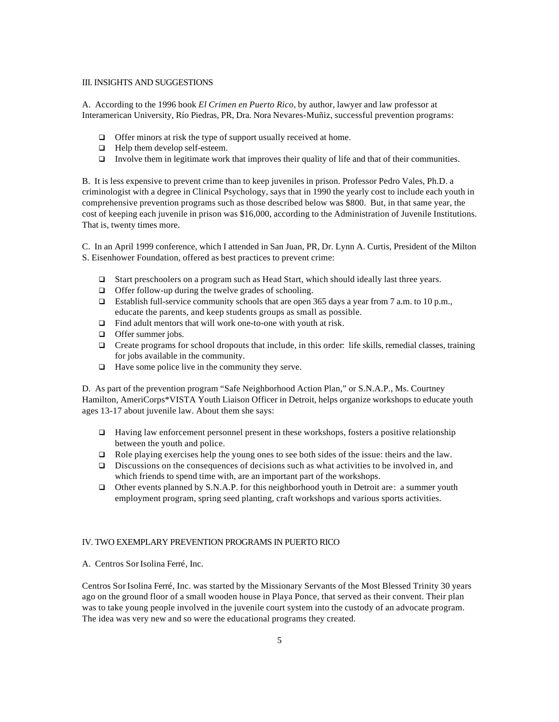#### III. INSIGHTS AND SUGGESTIONS

A. According to the 1996 book *El Crimen en Puerto Rico*, by author, lawyer and law professor at Interamerican University, Río Piedras, PR, Dra. Nora Nevares-Muñiz, successful prevention programs:

- $\Box$  Offer minors at risk the type of support usually received at home.
- $\Box$  Help them develop self-esteem.
- $\Box$  Involve them in legitimate work that improves their quality of life and that of their communities.

B. It is less expensive to prevent crime than to keep juveniles in prison. Professor Pedro Vales, Ph.D. a criminologist with a degree in Clinical Psychology, says that in 1990 the yearly cost to include each youth in comprehensive prevention programs such as those described below was \$800. But, in that same year, the cost of keeping each juvenile in prison was \$16,000, according to the Administration of Juvenile Institutions. That is, twenty times more.

C. In an April 1999 conference, which I attended in San Juan, PR, Dr. Lynn A. Curtis, President of the Milton S. Eisenhower Foundation, offered as best practices to prevent crime:

- □ Start preschoolers on a program such as Head Start, which should ideally last three years.
- $\Box$  Offer follow-up during the twelve grades of schooling.
- $\Box$  Establish full-service community schools that are open 365 days a year from 7 a.m. to 10 p.m., educate the parents, and keep students groups as small as possible.
- $\Box$  Find adult mentors that will work one-to-one with youth at risk.
- $\Box$  Offer summer jobs.
- □ Create programs for school dropouts that include, in this order: life skills, remedial classes, training for jobs available in the community.
- $\Box$  Have some police live in the community they serve.

D. As part of the prevention program "Safe Neighborhood Action Plan," or S.N.A.P., Ms. Courtney Hamilton, AmeriCorps\*VISTA Youth Liaison Officer in Detroit, helps organize workshops to educate youth ages 13-17 about juvenile law. About them she says:

- $\Box$  Having law enforcement personnel present in these workshops, fosters a positive relationship between the youth and police.
- $\Box$  Role playing exercises help the young ones to see both sides of the issue: theirs and the law.
- $\Box$  Discussions on the consequences of decisions such as what activities to be involved in, and which friends to spend time with, are an important part of the workshops.
- � Other events planned by S.N.A.P. for this neighborhood youth in Detroit are: a summer youth employment program, spring seed planting, craft workshops and various sports activities.

#### IV. TWO EXEMPLARY PREVENTION PROGRAMS IN PUERTO RICO

A. Centros Sor Isolina Ferré, Inc.

 Centros Sor Isolina Ferré, Inc. was started by the Missionary Servants of the Most Blessed Trinity 30 years ago on the ground floor of a small wooden house in Playa Ponce, that served as their convent. Their plan was to take young people involved in the juvenile court system into the custody of an advocate program. The idea was very new and so were the educational programs they created.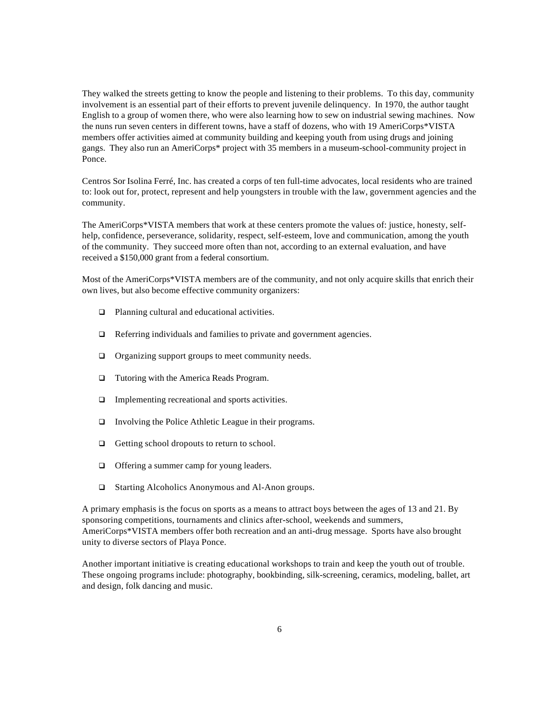They walked the streets getting to know the people and listening to their problems. To this day, community involvement is an essential part of their efforts to prevent juvenile delinquency. In 1970, the author taught English to a group of women there, who were also learning how to sew on industrial sewing machines. Now the nuns run seven centers in different towns, have a staff of dozens, who with 19 AmeriCorps\*VISTA members offer activities aimed at community building and keeping youth from using drugs and joining gangs. They also run an AmeriCorps\* project with 35 members in a museum-school-community project in Ponce.

Centros Sor Isolina Ferré, Inc. has created a corps of ten full-time advocates, local residents who are trained to: look out for, protect, represent and help youngsters in trouble with the law, government agencies and the community.

The AmeriCorps\*VISTA members that work at these centers promote the values of: justice, honesty, selfhelp, confidence, perseverance, solidarity, respect, self-esteem, love and communication, among the youth of the community. They succeed more often than not, according to an external evaluation, and have received a \$150,000 grant from a federal consortium.

Most of the AmeriCorps\*VISTA members are of the community, and not only acquire skills that enrich their own lives, but also become effective community organizers:

- $\Box$  Planning cultural and educational activities.
- $\Box$  Referring individuals and families to private and government agencies.
- □ Organizing support groups to meet community needs.
- $\Box$  Tutoring with the America Reads Program.
- $\Box$  Implementing recreational and sports activities.
- □ Involving the Police Athletic League in their programs.
- $\Box$  Getting school dropouts to return to school.
- □ Offering a summer camp for young leaders.
- � Starting Alcoholics Anonymous and Al-Anon groups.

A primary emphasis is the focus on sports as a means to attract boys between the ages of 13 and 21. By sponsoring competitions, tournaments and clinics after-school, weekends and summers, AmeriCorps\*VISTA members offer both recreation and an anti-drug message. Sports have also brought unity to diverse sectors of Playa Ponce.

Another important initiative is creating educational workshops to train and keep the youth out of trouble. These ongoing programs include: photography, bookbinding, silk-screening, ceramics, modeling, ballet, art and design, folk dancing and music.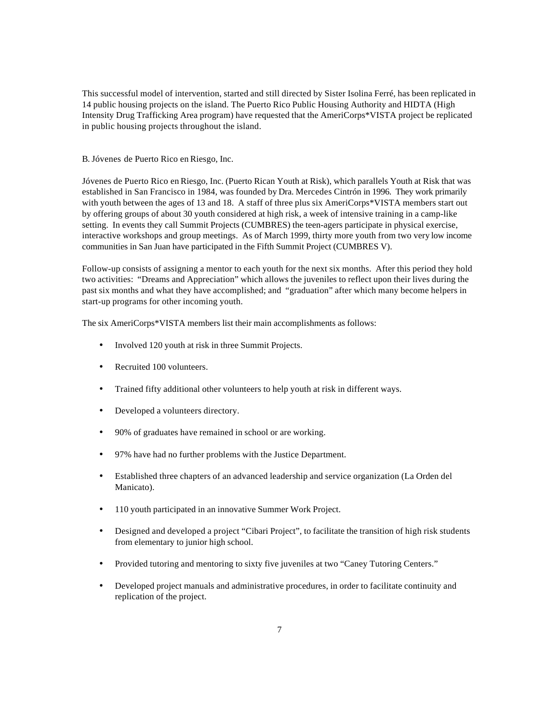This successful model of intervention, started and still directed by Sister Isolina Ferré, has been replicated in 14 public housing projects on the island. The Puerto Rico Public Housing Authority and HIDTA (High Intensity Drug Trafficking Area program) have requested that the AmeriCorps\*VISTA project be replicated in public housing projects throughout the island.

#### B. Jóvenes de Puerto Rico en Riesgo, Inc.

Jóvenes de Puerto Rico en Riesgo, Inc. (Puerto Rican Youth at Risk), which parallels Youth at Risk that was established in San Francisco in 1984, was founded by Dra. Mercedes Cintrón in 1996. They work primarily with youth between the ages of 13 and 18. A staff of three plus six AmeriCorps\*VISTA members start out by offering groups of about 30 youth considered at high risk, a week of intensive training in a camp-like setting. In events they call Summit Projects (CUMBRES) the teen-agers participate in physical exercise, interactive workshops and group meetings. As of March 1999, thirty more youth from two very low income communities in San Juan have participated in the Fifth Summit Project (CUMBRES V).

Follow-up consists of assigning a mentor to each youth for the next six months. After this period they hold two activities: "Dreams and Appreciation" which allows the juveniles to reflect upon their lives during the past six months and what they have accomplished; and "graduation" after which many become helpers in start-up programs for other incoming youth.

The six AmeriCorps\*VISTA members list their main accomplishments as follows:

- Involved 120 youth at risk in three Summit Projects.
- Recruited 100 volunteers.
- Trained fifty additional other volunteers to help youth at risk in different ways.
- Developed a volunteers directory.
- 90% of graduates have remained in school or are working.
- 97% have had no further problems with the Justice Department.
- • Established three chapters of an advanced leadership and service organization (La Orden del Manicato).
- 110 youth participated in an innovative Summer Work Project.
- Designed and developed a project "Cibari Project", to facilitate the transition of high risk students from elementary to junior high school.
- Provided tutoring and mentoring to sixty five juveniles at two "Caney Tutoring Centers."
- Developed project manuals and administrative procedures, in order to facilitate continuity and replication of the project.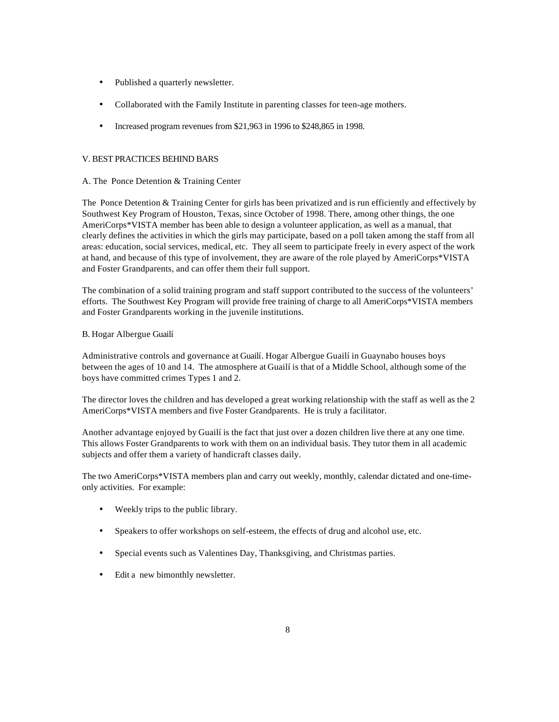- Published a quarterly newsletter.
- Collaborated with the Family Institute in parenting classes for teen-age mothers.
- Increased program revenues from \$21,963 in 1996 to \$248,865 in 1998.

#### V. BEST PRACTICES BEHIND BARS

#### A. The Ponce Detention & Training Center

The Ponce Detention & Training Center for girls has been privatized and is run efficiently and effectively by Southwest Key Program of Houston, Texas, since October of 1998. There, among other things, the one AmeriCorps\*VISTA member has been able to design a volunteer application, as well as a manual, that clearly defines the activities in which the girls may participate, based on a poll taken among the staff from all areas: education, social services, medical, etc. They all seem to participate freely in every aspect of the work at hand, and because of this type of involvement, they are aware of the role played by AmeriCorps\*VISTA and Foster Grandparents, and can offer them their full support.

The combination of a solid training program and staff support contributed to the success of the volunteers' efforts. The Southwest Key Program will provide free training of charge to all AmeriCorps\*VISTA members and Foster Grandparents working in the juvenile institutions.

#### B. Hogar Albergue Guailí

Administrative controls and governance at Guailí. Hogar Albergue Guailí in Guaynabo houses boys between the ages of 10 and 14. The atmosphere at Guailí is that of a Middle School, although some of the boys have committed crimes Types 1 and 2.

The director loves the children and has developed a great working relationship with the staff as well as the 2 AmeriCorps\*VISTA members and five Foster Grandparents. He is truly a facilitator.

Another advantage enjoyed by Guailí is the fact that just over a dozen children live there at any one time. This allows Foster Grandparents to work with them on an individual basis. They tutor them in all academic subjects and offer them a variety of handicraft classes daily.

The two AmeriCorps\*VISTA members plan and carry out weekly, monthly, calendar dictated and one-timeonly activities. For example:

- Weekly trips to the public library.
- Speakers to offer workshops on self-esteem, the effects of drug and alcohol use, etc.
- Special events such as Valentines Day, Thanksgiving, and Christmas parties.
- Edit a new bimonthly newsletter.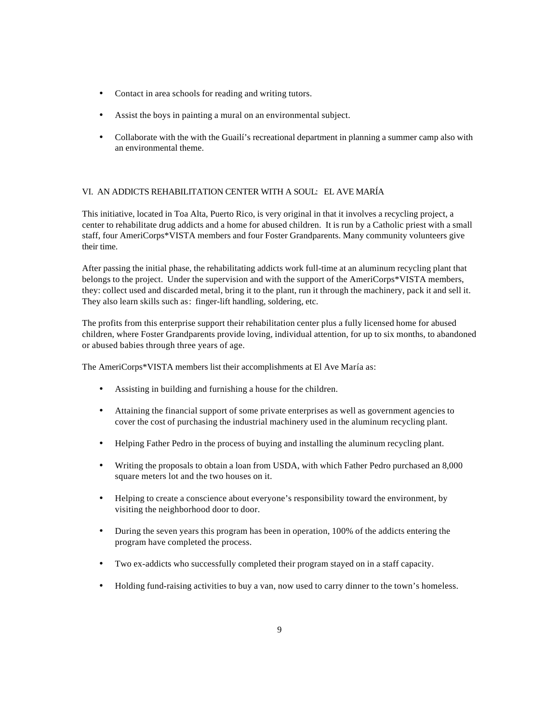- Contact in area schools for reading and writing tutors.
- Assist the boys in painting a mural on an environmental subject.
- Collaborate with the with the Guailí's recreational department in planning a summer camp also with an environmental theme.

#### VI. AN ADDICTS REHABILITATION CENTER WITH A SOUL: EL AVE MARÍA

This initiative, located in Toa Alta, Puerto Rico, is very original in that it involves a recycling project, a center to rehabilitate drug addicts and a home for abused children. It is run by a Catholic priest with a small staff, four AmeriCorps\*VISTA members and four Foster Grandparents. Many community volunteers give their time.

After passing the initial phase, the rehabilitating addicts work full-time at an aluminum recycling plant that belongs to the project. Under the supervision and with the support of the AmeriCorps\*VISTA members, they: collect used and discarded metal, bring it to the plant, run it through the machinery, pack it and sell it. They also learn skills such as: finger-lift handling, soldering, etc.

The profits from this enterprise support their rehabilitation center plus a fully licensed home for abused children, where Foster Grandparents provide loving, individual attention, for up to six months, to abandoned or abused babies through three years of age.

The AmeriCorps\*VISTA members list their accomplishments at El Ave María as:

- • Assisting in building and furnishing a house for the children.
- • Attaining the financial support of some private enterprises as well as government agencies to cover the cost of purchasing the industrial machinery used in the aluminum recycling plant.
- Helping Father Pedro in the process of buying and installing the aluminum recycling plant.
- • Writing the proposals to obtain a loan from USDA, with which Father Pedro purchased an 8,000 square meters lot and the two houses on it.
- Helping to create a conscience about everyone's responsibility toward the environment, by visiting the neighborhood door to door.
- During the seven years this program has been in operation, 100% of the addicts entering the program have completed the process.
- • Two ex-addicts who successfully completed their program stayed on in a staff capacity.
- Holding fund-raising activities to buy a van, now used to carry dinner to the town's homeless.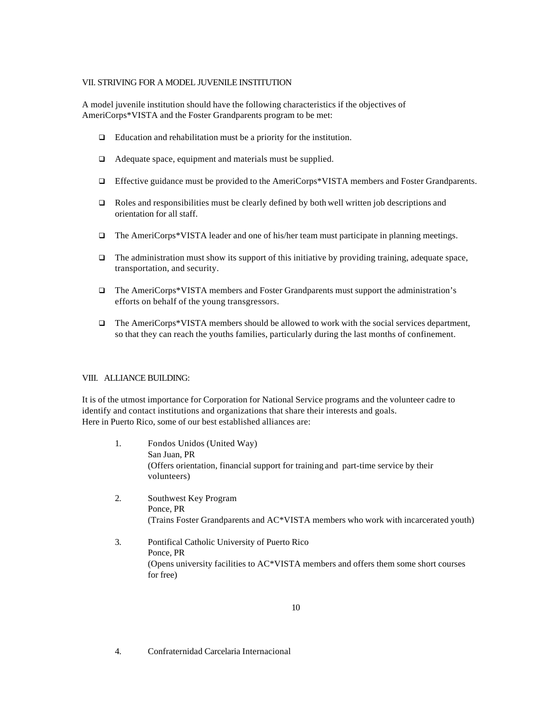#### VII. STRIVING FOR A MODEL JUVENILE INSTITUTION

A model juvenile institution should have the following characteristics if the objectives of AmeriCorps\*VISTA and the Foster Grandparents program to be met:

- $\Box$  Education and rehabilitation must be a priority for the institution.
- $\Box$  Adequate space, equipment and materials must be supplied.
- □ Effective guidance must be provided to the AmeriCorps\*VISTA members and Foster Grandparents.
- $\Box$  Roles and responsibilities must be clearly defined by both well written job descriptions and orientation for all staff.
- � The AmeriCorps\*VISTA leader and one of his/her team must participate in planning meetings.
- $\Box$  The administration must show its support of this initiative by providing training, adequate space, transportation, and security.
- � The AmeriCorps\*VISTA members and Foster Grandparents must support the administration's efforts on behalf of the young transgressors.
- □ The AmeriCorps\*VISTA members should be allowed to work with the social services department, so that they can reach the youths families, particularly during the last months of confinement.

#### VIII. ALLIANCE BUILDING:

It is of the utmost importance for Corporation for National Service programs and the volunteer cadre to identify and contact institutions and organizations that share their interests and goals. Here in Puerto Rico, some of our best established alliances are:

- 1. Fondos Unidos (United Way) San Juan, PR (Offers orientation, financial support for training and part-time service by their volunteers)
- 2. Southwest Key Program Ponce, PR (Trains Foster Grandparents and AC\*VISTA members who work with incarcerated youth)
- 3. Pontifical Catholic University of Puerto Rico Ponce, PR (Opens university facilities to AC\*VISTA members and offers them some short courses for free)

4. Confraternidad Carcelaria Internacional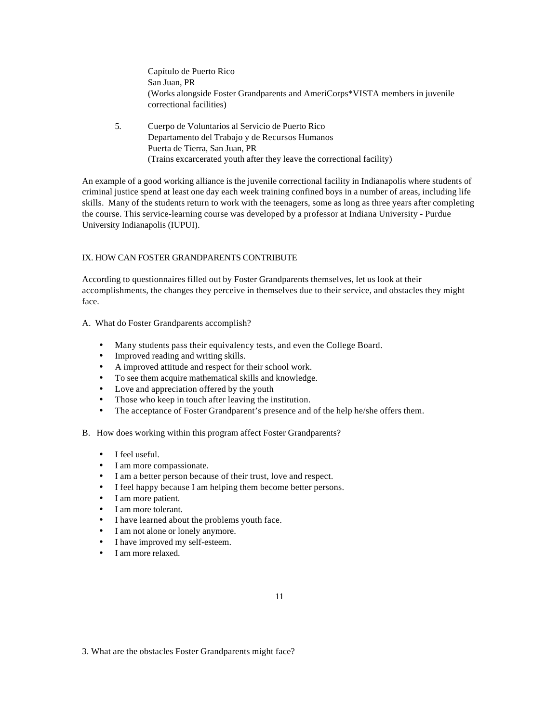Capítulo de Puerto Rico San Juan, PR (Works alongside Foster Grandparents and AmeriCorps\*VISTA members in juvenile correctional facilities)

5. Cuerpo de Voluntarios al Servicio de Puerto Rico Departamento del Trabajo y de Recursos Humanos Puerta de Tierra, San Juan, PR (Trains excarcerated youth after they leave the correctional facility)

An example of a good working alliance is the juvenile correctional facility in Indianapolis where students of criminal justice spend at least one day each week training confined boys in a number of areas, including life skills. Many of the students return to work with the teenagers, some as long as three years after completing the course. This service-learning course was developed by a professor at Indiana University - Purdue University Indianapolis (IUPUI).

#### IX. HOW CAN FOSTER GRANDPARENTS CONTRIBUTE

According to questionnaires filled out by Foster Grandparents themselves, let us look at their accomplishments, the changes they perceive in themselves due to their service, and obstacles they might face.

- A. What do Foster Grandparents accomplish?
	- Many students pass their equivalency tests, and even the College Board.
	- Improved reading and writing skills.
	- A improved attitude and respect for their school work.
	- To see them acquire mathematical skills and knowledge.
	- Love and appreciation offered by the youth
	- Those who keep in touch after leaving the institution.
	- The acceptance of Foster Grandparent's presence and of the help he/she offers them.
- B. How does working within this program affect Foster Grandparents?
	- I feel useful.
	- I am more compassionate.
	- I am a better person because of their trust, love and respect.
	- I feel happy because I am helping them become better persons.
	- I am more patient.
	- I am more tolerant.
	- I have learned about the problems youth face.
	- I am not alone or lonely anymore.
	- I have improved my self-esteem.
	- I am more relaxed.

<sup>3.</sup> What are the obstacles Foster Grandparents might face?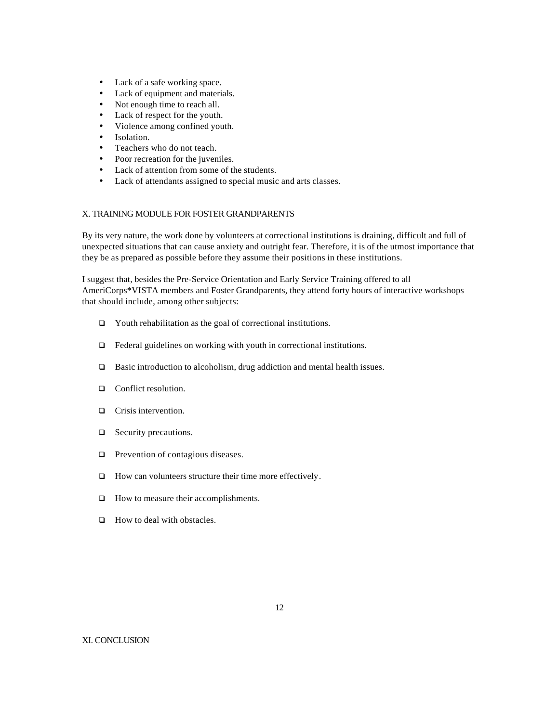- Lack of a safe working space.
- Lack of equipment and materials.
- Not enough time to reach all.
- Lack of respect for the youth.
- Violence among confined youth.
- Isolation.
- Teachers who do not teach.
- Poor recreation for the juveniles.
- Lack of attention from some of the students.
- Lack of attendants assigned to special music and arts classes.

#### X. TRAINING MODULE FOR FOSTER GRANDPARENTS

By its very nature, the work done by volunteers at correctional institutions is draining, difficult and full of unexpected situations that can cause anxiety and outright fear. Therefore, it is of the utmost importance that they be as prepared as possible before they assume their positions in these institutions.

I suggest that, besides the Pre-Service Orientation and Early Service Training offered to all AmeriCorps\*VISTA members and Foster Grandparents, they attend forty hours of interactive workshops that should include, among other subjects:

- � Youth rehabilitation as the goal of correctional institutions.
- $\Box$  Federal guidelines on working with youth in correctional institutions.
- $\Box$  Basic introduction to alcoholism, drug addiction and mental health issues.
- $\Box$  Conflict resolution.
- $\Box$  Crisis intervention.
- $\Box$  Security precautions.
- $\Box$  Prevention of contagious diseases.
- $\Box$  How can volunteers structure their time more effectively.
- $\Box$  How to measure their accomplishments.
- $\Box$  How to deal with obstacles.

#### XI. CONCLUSION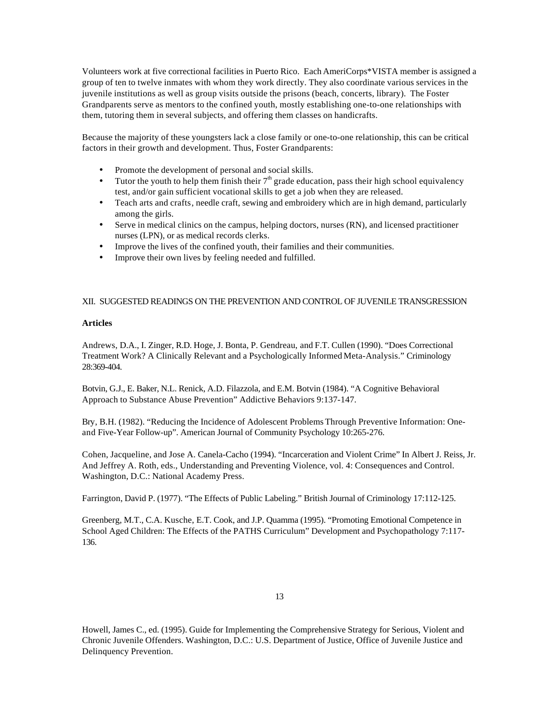Volunteers work at five correctional facilities in Puerto Rico. Each AmeriCorps\*VISTA member is assigned a group of ten to twelve inmates with whom they work directly. They also coordinate various services in the juvenile institutions as well as group visits outside the prisons (beach, concerts, library). The Foster Grandparents serve as mentors to the confined youth, mostly establishing one-to-one relationships with them, tutoring them in several subjects, and offering them classes on handicrafts.

Because the majority of these youngsters lack a close family or one-to-one relationship, this can be critical factors in their growth and development. Thus, Foster Grandparents:

- Promote the development of personal and social skills.
- Tutor the youth to help them finish their  $7<sup>th</sup>$  grade education, pass their high school equivalency test, and/or gain sufficient vocational skills to get a job when they are released.
- Teach arts and crafts, needle craft, sewing and embroidery which are in high demand, particularly among the girls.
- Serve in medical clinics on the campus, helping doctors, nurses (RN), and licensed practitioner nurses (LPN), or as medical records clerks.
- Improve the lives of the confined youth, their families and their communities.
- Improve their own lives by feeling needed and fulfilled.

#### XII. SUGGESTED READINGS ON THE PREVENTION AND CONTROL OF JUVENILE TRANSGRESSION

#### **Articles**

Andrews, D.A., I. Zinger, R.D. Hoge, J. Bonta, P. Gendreau, and F.T. Cullen (1990). "Does Correctional Treatment Work? A Clinically Relevant and a Psychologically Informed Meta-Analysis." Criminology 28:369-404.

Botvin, G.J., E. Baker, N.L. Renick, A.D. Filazzola, and E.M. Botvin (1984). "A Cognitive Behavioral Approach to Substance Abuse Prevention" Addictive Behaviors 9:137-147.

Bry, B.H. (1982). "Reducing the Incidence of Adolescent Problems Through Preventive Information: Oneand Five-Year Follow-up". American Journal of Community Psychology 10:265-276.

Cohen, Jacqueline, and Jose A. Canela-Cacho (1994). "Incarceration and Violent Crime" In Albert J. Reiss, Jr. And Jeffrey A. Roth, eds., Understanding and Preventing Violence, vol. 4: Consequences and Control. Washington, D.C.: National Academy Press.

Farrington, David P. (1977). "The Effects of Public Labeling." British Journal of Criminology 17:112-125.

Greenberg, M.T., C.A. Kusche, E.T. Cook, and J.P. Quamma (1995). "Promoting Emotional Competence in School Aged Children: The Effects of the PATHS Curriculum" Development and Psychopathology 7:117 136.

Howell, James C., ed. (1995). Guide for Implementing the Comprehensive Strategy for Serious, Violent and Chronic Juvenile Offenders. Washington, D.C.: U.S. Department of Justice, Office of Juvenile Justice and Delinquency Prevention.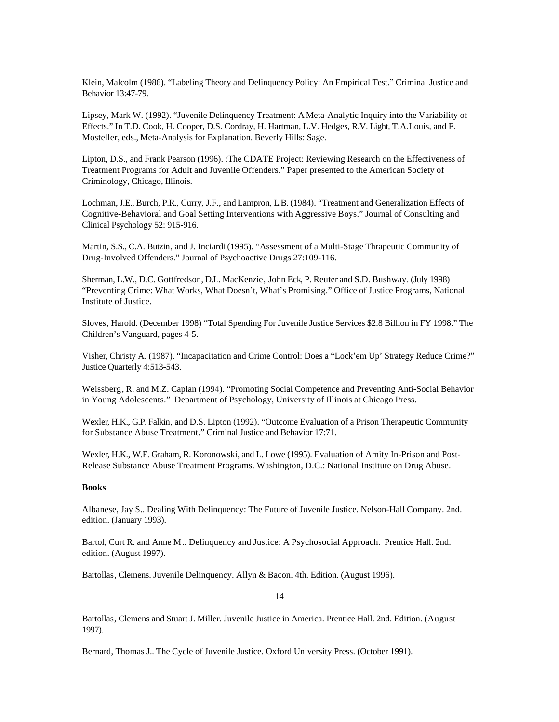Klein, Malcolm (1986). "Labeling Theory and Delinquency Policy: An Empirical Test." Criminal Justice and Behavior 13:47-79.

Lipsey, Mark W. (1992). "Juvenile Delinquency Treatment: A Meta-Analytic Inquiry into the Variability of Effects." In T.D. Cook, H. Cooper, D.S. Cordray, H. Hartman, L.V. Hedges, R.V. Light, T.A.Louis, and F. Mosteller, eds., Meta-Analysis for Explanation. Beverly Hills: Sage.

Lipton, D.S., and Frank Pearson (1996). :The CDATE Project: Reviewing Research on the Effectiveness of Treatment Programs for Adult and Juvenile Offenders." Paper presented to the American Society of Criminology, Chicago, Illinois.

Lochman, J.E., Burch, P.R., Curry, J.F., and Lampron, L.B. (1984). "Treatment and Generalization Effects of Cognitive-Behavioral and Goal Setting Interventions with Aggressive Boys." Journal of Consulting and Clinical Psychology 52: 915-916.

Martin, S.S., C.A. Butzin, and J. Inciardi (1995). "Assessment of a Multi-Stage Thrapeutic Community of Drug-Involved Offenders." Journal of Psychoactive Drugs 27:109-116.

Sherman, L.W., D.C. Gottfredson, D.L. MacKenzie, John Eck, P. Reuter and S.D. Bushway. (July 1998) "Preventing Crime: What Works, What Doesn't, What's Promising." Office of Justice Programs, National Institute of Justice.

Sloves, Harold. (December 1998) "Total Spending For Juvenile Justice Services \$2.8 Billion in FY 1998." The Children's Vanguard, pages 4-5.

Visher, Christy A. (1987). "Incapacitation and Crime Control: Does a "Lock'em Up' Strategy Reduce Crime?" Justice Quarterly 4:513-543.

Weissberg, R. and M.Z. Caplan (1994). "Promoting Social Competence and Preventing Anti-Social Behavior in Young Adolescents." Department of Psychology, University of Illinois at Chicago Press.

Wexler, H.K., G.P. Falkin, and D.S. Lipton (1992). "Outcome Evaluation of a Prison Therapeutic Community for Substance Abuse Treatment." Criminal Justice and Behavior 17:71.

Wexler, H.K., W.F. Graham, R. Koronowski, and L. Lowe (1995). Evaluation of Amity In-Prison and Post-Release Substance Abuse Treatment Programs. Washington, D.C.: National Institute on Drug Abuse.

#### **Books**

Albanese, Jay S.. Dealing With Delinquency: The Future of Juvenile Justice. Nelson-Hall Company. 2nd. edition. (January 1993).

Bartol, Curt R. and Anne M.. Delinquency and Justice: A Psychosocial Approach. Prentice Hall. 2nd. edition. (August 1997).

Bartollas, Clemens. Juvenile Delinquency. Allyn & Bacon. 4th. Edition. (August 1996).

14

Bartollas, Clemens and Stuart J. Miller. Juvenile Justice in America. Prentice Hall. 2nd. Edition. (August 1997).

Bernard, Thomas J.. The Cycle of Juvenile Justice. Oxford University Press. (October 1991).